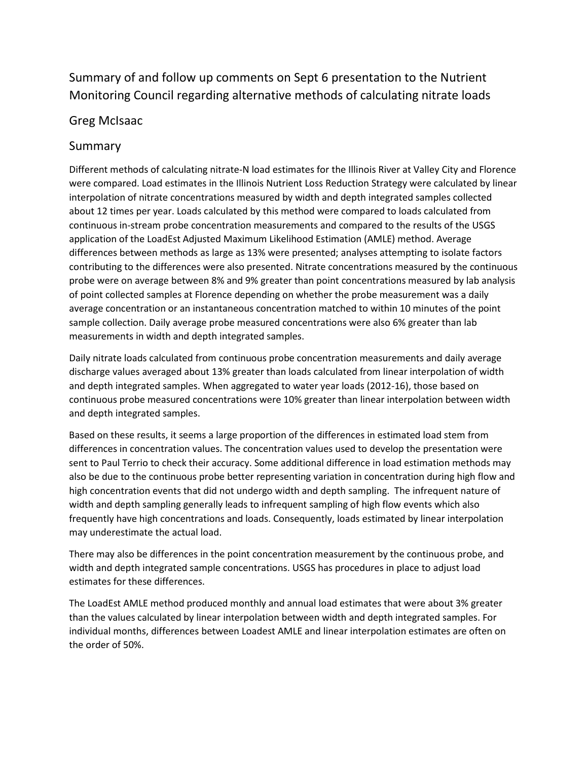# Summary of and follow up comments on Sept 6 presentation to the Nutrient Monitoring Council regarding alternative methods of calculating nitrate loads

### Greg McIsaac

## Summary

Different methods of calculating nitrate-N load estimates for the Illinois River at Valley City and Florence were compared. Load estimates in the Illinois Nutrient Loss Reduction Strategy were calculated by linear interpolation of nitrate concentrations measured by width and depth integrated samples collected about 12 times per year. Loads calculated by this method were compared to loads calculated from continuous in-stream probe concentration measurements and compared to the results of the USGS application of the LoadEst Adjusted Maximum Likelihood Estimation (AMLE) method. Average differences between methods as large as 13% were presented; analyses attempting to isolate factors contributing to the differences were also presented. Nitrate concentrations measured by the continuous probe were on average between 8% and 9% greater than point concentrations measured by lab analysis of point collected samples at Florence depending on whether the probe measurement was a daily average concentration or an instantaneous concentration matched to within 10 minutes of the point sample collection. Daily average probe measured concentrations were also 6% greater than lab measurements in width and depth integrated samples.

Daily nitrate loads calculated from continuous probe concentration measurements and daily average discharge values averaged about 13% greater than loads calculated from linear interpolation of width and depth integrated samples. When aggregated to water year loads (2012-16), those based on continuous probe measured concentrations were 10% greater than linear interpolation between width and depth integrated samples.

Based on these results, it seems a large proportion of the differences in estimated load stem from differences in concentration values. The concentration values used to develop the presentation were sent to Paul Terrio to check their accuracy. Some additional difference in load estimation methods may also be due to the continuous probe better representing variation in concentration during high flow and high concentration events that did not undergo width and depth sampling. The infrequent nature of width and depth sampling generally leads to infrequent sampling of high flow events which also frequently have high concentrations and loads. Consequently, loads estimated by linear interpolation may underestimate the actual load.

There may also be differences in the point concentration measurement by the continuous probe, and width and depth integrated sample concentrations. USGS has procedures in place to adjust load estimates for these differences.

The LoadEst AMLE method produced monthly and annual load estimates that were about 3% greater than the values calculated by linear interpolation between width and depth integrated samples. For individual months, differences between Loadest AMLE and linear interpolation estimates are often on the order of 50%.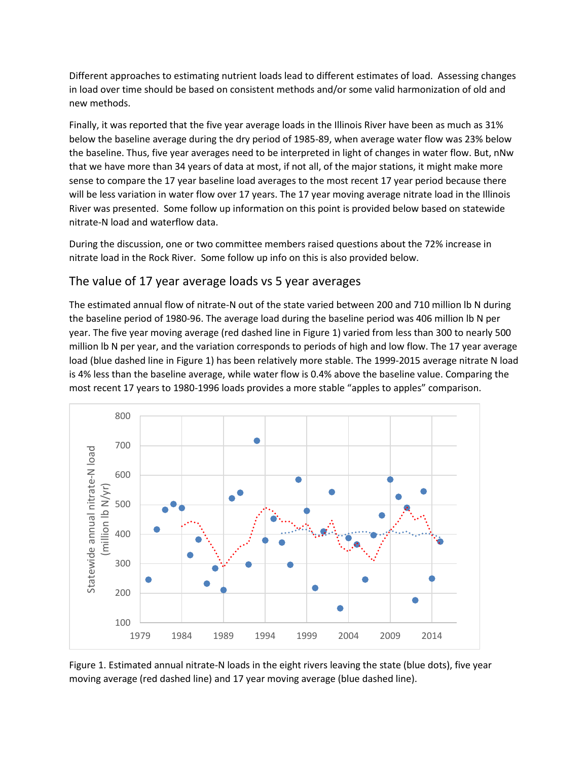Different approaches to estimating nutrient loads lead to different estimates of load. Assessing changes in load over time should be based on consistent methods and/or some valid harmonization of old and new methods.

Finally, it was reported that the five year average loads in the Illinois River have been as much as 31% below the baseline average during the dry period of 1985-89, when average water flow was 23% below the baseline. Thus, five year averages need to be interpreted in light of changes in water flow. But, nNw that we have more than 34 years of data at most, if not all, of the major stations, it might make more sense to compare the 17 year baseline load averages to the most recent 17 year period because there will be less variation in water flow over 17 years. The 17 year moving average nitrate load in the Illinois River was presented. Some follow up information on this point is provided below based on statewide nitrate-N load and waterflow data.

During the discussion, one or two committee members raised questions about the 72% increase in nitrate load in the Rock River. Some follow up info on this is also provided below.

#### The value of 17 year average loads vs 5 year averages

The estimated annual flow of nitrate-N out of the state varied between 200 and 710 million lb N during the baseline period of 1980-96. The average load during the baseline period was 406 million lb N per year. The five year moving average (red dashed line in Figure 1) varied from less than 300 to nearly 500 million lb N per year, and the variation corresponds to periods of high and low flow. The 17 year average load (blue dashed line in Figure 1) has been relatively more stable. The 1999-2015 average nitrate N load is 4% less than the baseline average, while water flow is 0.4% above the baseline value. Comparing the most recent 17 years to 1980-1996 loads provides a more stable "apples to apples" comparison.



Figure 1. Estimated annual nitrate-N loads in the eight rivers leaving the state (blue dots), five year moving average (red dashed line) and 17 year moving average (blue dashed line).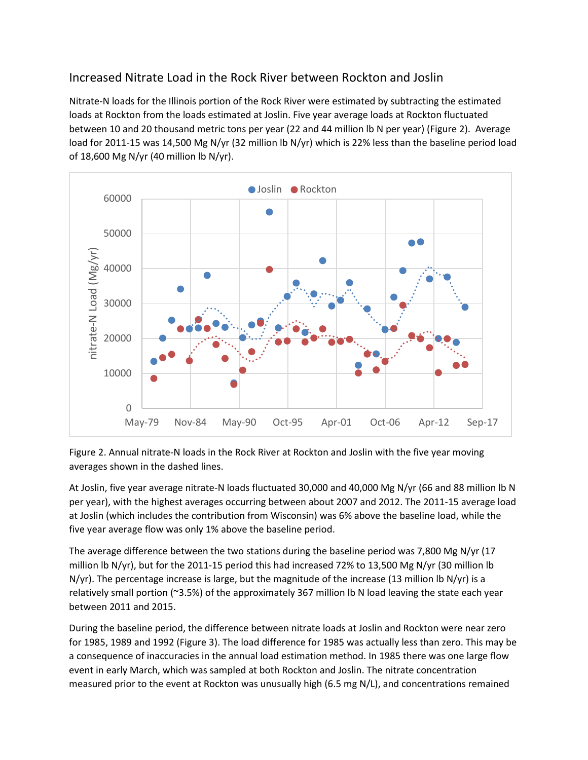## Increased Nitrate Load in the Rock River between Rockton and Joslin

Nitrate-N loads for the Illinois portion of the Rock River were estimated by subtracting the estimated loads at Rockton from the loads estimated at Joslin. Five year average loads at Rockton fluctuated between 10 and 20 thousand metric tons per year (22 and 44 million lb N per year) (Figure 2). Average load for 2011-15 was 14,500 Mg N/yr (32 million lb N/yr) which is 22% less than the baseline period load of 18,600 Mg N/yr (40 million lb N/yr).



Figure 2. Annual nitrate-N loads in the Rock River at Rockton and Joslin with the five year moving averages shown in the dashed lines.

At Joslin, five year average nitrate-N loads fluctuated 30,000 and 40,000 Mg N/yr (66 and 88 million lb N per year), with the highest averages occurring between about 2007 and 2012. The 2011-15 average load at Joslin (which includes the contribution from Wisconsin) was 6% above the baseline load, while the five year average flow was only 1% above the baseline period.

The average difference between the two stations during the baseline period was 7,800 Mg N/yr (17 million lb N/yr), but for the 2011-15 period this had increased 72% to 13,500 Mg N/yr (30 million lb  $N/yr$ ). The percentage increase is large, but the magnitude of the increase (13 million lb  $N/yr$ ) is a relatively small portion (~3.5%) of the approximately 367 million lb N load leaving the state each year between 2011 and 2015.

During the baseline period, the difference between nitrate loads at Joslin and Rockton were near zero for 1985, 1989 and 1992 (Figure 3). The load difference for 1985 was actually less than zero. This may be a consequence of inaccuracies in the annual load estimation method. In 1985 there was one large flow event in early March, which was sampled at both Rockton and Joslin. The nitrate concentration measured prior to the event at Rockton was unusually high (6.5 mg N/L), and concentrations remained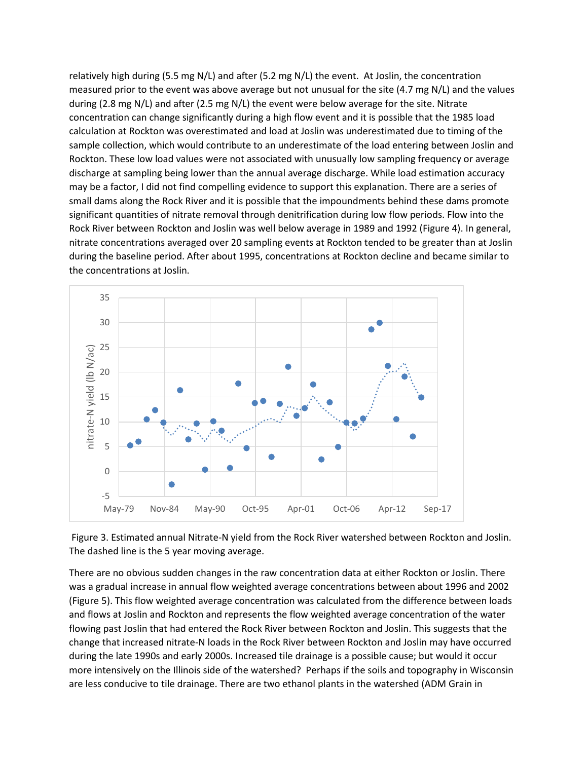relatively high during (5.5 mg N/L) and after (5.2 mg N/L) the event. At Joslin, the concentration measured prior to the event was above average but not unusual for the site (4.7 mg N/L) and the values during (2.8 mg N/L) and after (2.5 mg N/L) the event were below average for the site. Nitrate concentration can change significantly during a high flow event and it is possible that the 1985 load calculation at Rockton was overestimated and load at Joslin was underestimated due to timing of the sample collection, which would contribute to an underestimate of the load entering between Joslin and Rockton. These low load values were not associated with unusually low sampling frequency or average discharge at sampling being lower than the annual average discharge. While load estimation accuracy may be a factor, I did not find compelling evidence to support this explanation. There are a series of small dams along the Rock River and it is possible that the impoundments behind these dams promote significant quantities of nitrate removal through denitrification during low flow periods. Flow into the Rock River between Rockton and Joslin was well below average in 1989 and 1992 (Figure 4). In general, nitrate concentrations averaged over 20 sampling events at Rockton tended to be greater than at Joslin during the baseline period. After about 1995, concentrations at Rockton decline and became similar to the concentrations at Joslin.



Figure 3. Estimated annual Nitrate-N yield from the Rock River watershed between Rockton and Joslin. The dashed line is the 5 year moving average.

There are no obvious sudden changes in the raw concentration data at either Rockton or Joslin. There was a gradual increase in annual flow weighted average concentrations between about 1996 and 2002 (Figure 5). This flow weighted average concentration was calculated from the difference between loads and flows at Joslin and Rockton and represents the flow weighted average concentration of the water flowing past Joslin that had entered the Rock River between Rockton and Joslin. This suggests that the change that increased nitrate-N loads in the Rock River between Rockton and Joslin may have occurred during the late 1990s and early 2000s. Increased tile drainage is a possible cause; but would it occur more intensively on the Illinois side of the watershed? Perhaps if the soils and topography in Wisconsin are less conducive to tile drainage. There are two ethanol plants in the watershed (ADM Grain in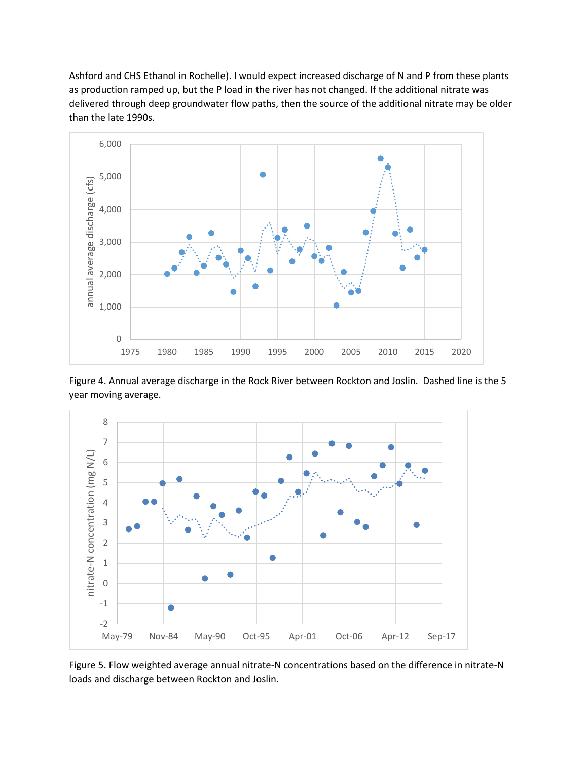Ashford and CHS Ethanol in Rochelle). I would expect increased discharge of N and P from these plants as production ramped up, but the P load in the river has not changed. If the additional nitrate was delivered through deep groundwater flow paths, then the source of the additional nitrate may be older than the late 1990s.



Figure 4. Annual average discharge in the Rock River between Rockton and Joslin. Dashed line is the 5 year moving average.



Figure 5. Flow weighted average annual nitrate-N concentrations based on the difference in nitrate-N loads and discharge between Rockton and Joslin.